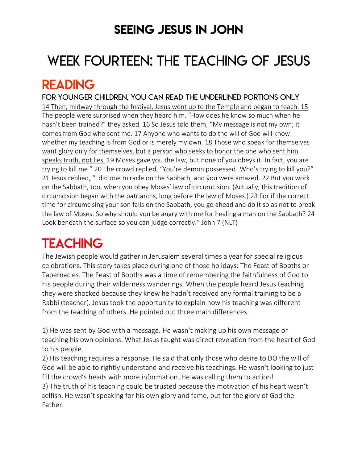### SEEING JESUS IN JOHN

# WEEK FOURTEEN: THE TEACHING OF JESUS

### READING

FOR younger children, YOU can READ THE UNDERLINED PORTIONS ONLY 14 Then, midway through the festival, Jesus went up to the Temple and began to teach. 15 The people were surprised when they heard him. "How does he know so much when he hasn't been trained?" they asked. 16 So Jesus told them, "My message is not my own; it comes from God who sent me. 17 Anyone who wants to do the will of God will know whether my teaching is from God or is merely my own. 18 Those who speak for themselves want glory only for themselves, but a person who seeks to honor the one who sent him speaks truth, not lies. 19 Moses gave you the law, but none of you obeys it! In fact, you are trying to kill me." 20 The crowd replied, "You're demon possessed! Who's trying to kill you?" 21 Jesus replied, "I did one miracle on the Sabbath, and you were amazed. 22 But you work on the Sabbath, too, when you obey Moses' law of circumcision. (Actually, this tradition of circumcision began with the patriarchs, long before the law of Moses.) 23 For if the correct time for circumcising your son falls on the Sabbath, you go ahead and do it so as not to break the law of Moses. So why should you be angry with me for healing a man on the Sabbath? 24 Look beneath the surface so you can judge correctly." John 7 (NLT)

# **TEACHING**

The Jewish people would gather in Jerusalem several times a year for special religious celebrations. This story takes place during one of those holidays: The Feast of Booths or Tabernacles. The Feast of Booths was a time of remembering the faithfulness of God to his people during their wilderness wanderings. When the people heard Jesus teaching they were shocked because they knew he hadn't received any formal training to be a Rabbi (teacher). Jesus took the opportunity to explain how his teaching was different from the teaching of others. He pointed out three main differences.

1) He was sent by God with a message. He wasn't making up his own message or teaching his own opinions. What Jesus taught was direct revelation from the heart of God to his people.

2) His teaching requires a response. He said that only those who desire to DO the will of God will be able to rightly understand and receive his teachings. He wasn't looking to just fill the crowd's heads with more information. He was calling them to action! 3) The truth of his teaching could be trusted because the motivation of his heart wasn't selfish. He wasn't speaking for his own glory and fame, but for the glory of God the Father.